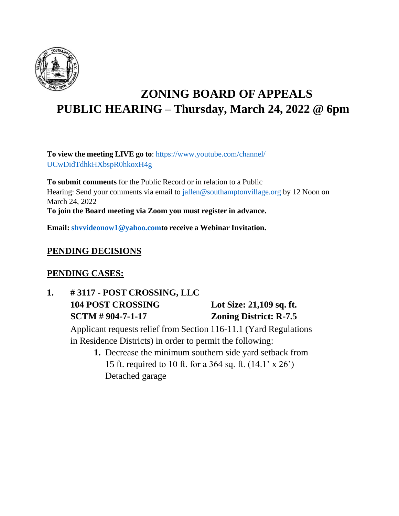

# **ZONING BOARD OF APPEALS PUBLIC HEARING – Thursday, March 24, 2022 @ 6pm**

**To view the meeting LIVE go to**: https:/[/www.youtube.com/channel/](http://www.youtube.com/channel/) UCwDidTdhkHXbspR0hkoxH4g

**To submit comments** for the Public Record or in relation to a Public Hearing: Send your comments via email to [jallen@southamptonvillage.org](mailto:jallen@southamptonvillage.org) by 12 Noon on March 24, 2022

**To join the Board meeting via Zoom you must register in advance.**

**Email: [shvvideonow1@yahoo.comto](mailto:shvvideonow1@yahoo.comto) receive a Webinar Invitation.**

### **PENDING DECISIONS**

### **PENDING CASES:**

## **1. # 3117** - **POST CROSSING, LLC 104 POST CROSSING Lot Size: 21,109 sq. ft. SCTM # 904-7-1-17 Zoning District: R-7.5**

Applicant requests relief from Section 116-11.1 (Yard Regulations in Residence Districts) in order to permit the following:

**1.** Decrease the minimum southern side yard setback from 15 ft. required to 10 ft. for a 364 sq. ft. (14.1' x 26') Detached garage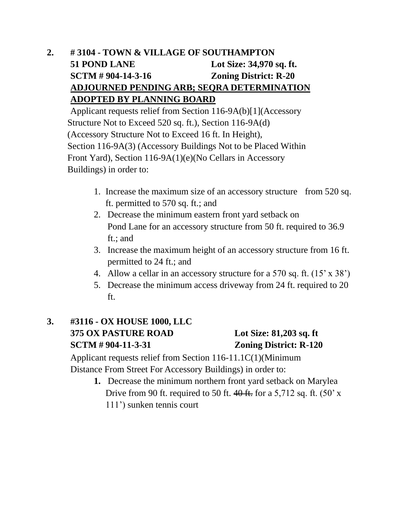## **2. # 3104 - TOWN & VILLAGE OF SOUTHAMPTON 51 POND LANE Lot Size: 34,970 sq. ft. SCTM # 904-14-3-16 Zoning District: R-20 ADJOURNED PENDING ARB; SEQRA DETERMINATION ADOPTED BY PLANNING BOARD**

Applicant requests relief from Section 116-9A(b)[1](Accessory Structure Not to Exceed 520 sq. ft.), Section 116-9A(d) (Accessory Structure Not to Exceed 16 ft. In Height), Section 116-9A(3) (Accessory Buildings Not to be Placed Within Front Yard), Section 116-9A(1)(e)(No Cellars in Accessory Buildings) in order to:

- 1. Increase the maximum size of an accessory structure from 520 sq. ft. permitted to 570 sq. ft.; and
- 2. Decrease the minimum eastern front yard setback on Pond Lane for an accessory structure from 50 ft. required to 36.9 ft.; and
- 3. Increase the maximum height of an accessory structure from 16 ft. permitted to 24 ft.; and
- 4. Allow a cellar in an accessory structure for a 570 sq. ft.  $(15 \times 38^{\circ})$
- 5. Decrease the minimum access driveway from 24 ft. required to 20 ft.

### **3. #3116 - OX HOUSE 1000, LLC 375 OX PASTURE ROAD Lot Size: 81,203 sq. ft SCTM # 904-11-3-31 Zoning District: R-120**

Applicant requests relief from Section 116-11.1C(1)(Minimum Distance From Street For Accessory Buildings) in order to:

> **1.** Decrease the minimum northern front yard setback on Marylea Drive from 90 ft. required to 50 ft.  $40$  ft. for a 5,712 sq. ft. (50' x 111') sunken tennis court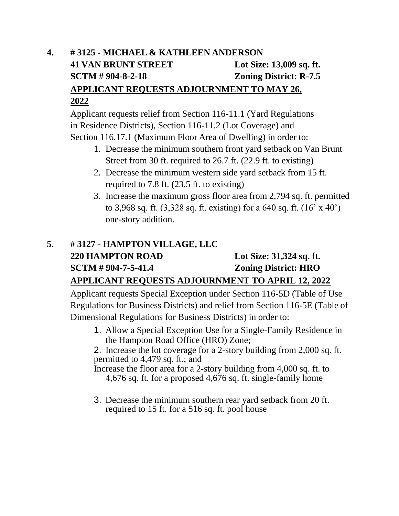## **4. # 3125 - MICHAEL & KATHLEEN ANDERSON 41 VAN BRUNT STREET Lot Size: 13,009 sq. ft. SCTM # 904-8-2-18 Zoning District: R-7.5 APPLICANT REQUESTS ADJOURNMENT TO MAY 26, 2022**

Applicant requests relief from Section 116-11.1 (Yard Regulations in Residence Districts), Section 116-11.2 (Lot Coverage) and Section 116.17.1 (Maximum Floor Area of Dwelling) in order to:

- 1. Decrease the minimum southern front yard setback on Van Brunt Street from 30 ft. required to 26.7 ft. (22.9 ft. to existing)
- 2. Decrease the minimum western side yard setback from 15 ft. required to 7.8 ft. (23.5 ft. to existing)
- 3. Increase the maximum gross floor area from 2,794 sq. ft. permitted to 3,968 sq. ft. (3,328 sq. ft. existing) for a 640 sq. ft. (16' x 40') one-story addition.

## **5. # 3127 - HAMPTON VILLAGE, LLC 220 HAMPTON ROAD Lot Size: 31,324 sq. ft. SCTM # 904-7-5-41.4 Zoning District: HRO APPLICANT REQUESTS ADJOURNMENT TO APRIL 12, 2022**

Applicant requests Special Exception under Section 116-5D (Table of Use Regulations for Business Districts) and relief from Section 116-5E (Table of Dimensional Regulations for Business Districts) in order to:

1. Allow a Special Exception Use for a Single-Family Residence in the Hampton Road Office (HRO) Zone;

2. Increase the lot coverage for a 2-story building from 2,000 sq. ft. permitted to 4,479 sq. ft.; and

Increase the floor area for a 2-story building from 4,000 sq. ft. to 4,676 sq. ft. for a proposed 4,676 sq. ft. single-family home

3. Decrease the minimum southern rear yard setback from 20 ft. required to 15 ft. for a 516 sq. ft. pool house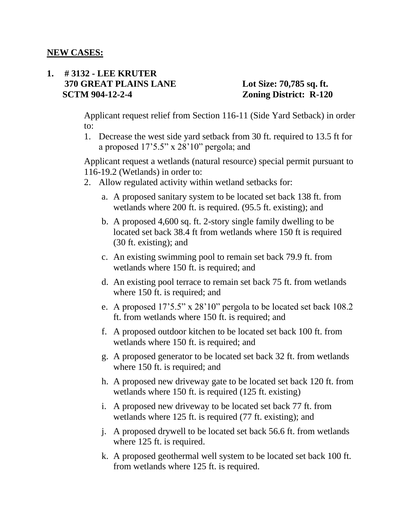#### **1. # 3132 - LEE KRUTER 370 GREAT PLAINS LANE Lot Size: 70,785 sq. ft. SCTM 904-12-2-4** *Zoning District: R-120*

Applicant request relief from Section 116-11 (Side Yard Setback) in order to:

1. Decrease the west side yard setback from 30 ft. required to 13.5 ft for a proposed 17'5.5" x 28'10" pergola; and

Applicant request a wetlands (natural resource) special permit pursuant to 116-19.2 (Wetlands) in order to:

- 2. Allow regulated activity within wetland setbacks for:
	- a. A proposed sanitary system to be located set back 138 ft. from wetlands where 200 ft. is required. (95.5 ft. existing); and
	- b. A proposed 4,600 sq. ft. 2-story single family dwelling to be located set back 38.4 ft from wetlands where 150 ft is required (30 ft. existing); and
	- c. An existing swimming pool to remain set back 79.9 ft. from wetlands where 150 ft. is required; and
	- d. An existing pool terrace to remain set back 75 ft. from wetlands where 150 ft. is required; and
	- e. A proposed 17'5.5" x 28'10" pergola to be located set back 108.2 ft. from wetlands where 150 ft. is required; and
	- f. A proposed outdoor kitchen to be located set back 100 ft. from wetlands where 150 ft. is required; and
	- g. A proposed generator to be located set back 32 ft. from wetlands where 150 ft. is required; and
	- h. A proposed new driveway gate to be located set back 120 ft. from wetlands where 150 ft. is required (125 ft. existing)
	- i. A proposed new driveway to be located set back 77 ft. from wetlands where 125 ft. is required (77 ft. existing); and
	- j. A proposed drywell to be located set back 56.6 ft. from wetlands where 125 ft. is required.
	- k. A proposed geothermal well system to be located set back 100 ft. from wetlands where 125 ft. is required.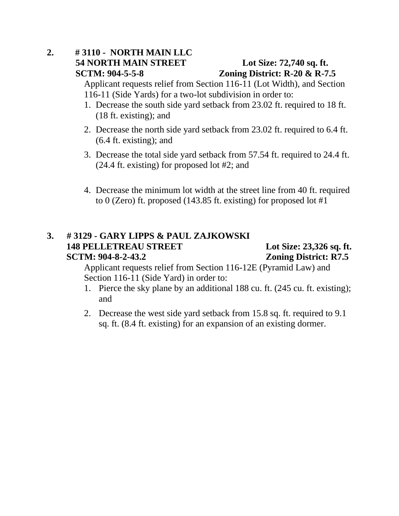### **2. # 3110 - NORTH MAIN LLC 54 NORTH MAIN STREET Lot Size: 72,740 sq. ft. SCTM: 904-5-5-8 Zoning District: R-20 & R-7.5**

Applicant requests relief from Section 116-11 (Lot Width), and Section 116-11 (Side Yards) for a two-lot subdivision in order to:

- 1. Decrease the south side yard setback from 23.02 ft. required to 18 ft. (18 ft. existing); and
- 2. Decrease the north side yard setback from 23.02 ft. required to 6.4 ft. (6.4 ft. existing); and
- 3. Decrease the total side yard setback from 57.54 ft. required to 24.4 ft. (24.4 ft. existing) for proposed lot #2; and
- 4. Decrease the minimum lot width at the street line from 40 ft. required to 0 (Zero) ft. proposed (143.85 ft. existing) for proposed lot #1

#### **3. # 3129 - GARY LIPPS & PAUL ZAJKOWSKI 148 PELLETREAU STREET Lot Size: 23,326 sq. ft. SCTM: 904-8-2-43.2 Zoning District: R7.5**

Applicant requests relief from Section 116-12E (Pyramid Law) and Section 116-11 (Side Yard) in order to:

- 1. Pierce the sky plane by an additional 188 cu. ft. (245 cu. ft. existing); and
- 2. Decrease the west side yard setback from 15.8 sq. ft. required to 9.1 sq. ft. (8.4 ft. existing) for an expansion of an existing dormer.